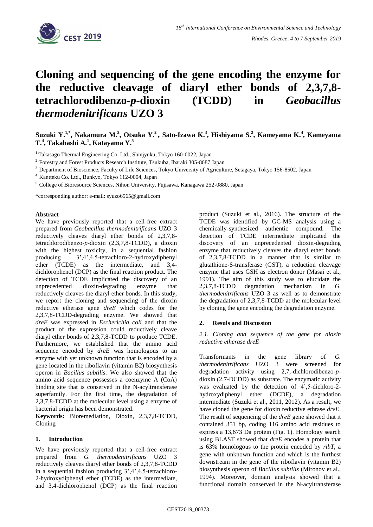

# **Cloning and sequencing of the gene encoding the enzyme for the reductive cleavage of diaryl ether bonds of 2,3,7,8 tetrachlorodibenzo-***p***-dioxin (TCDD) in** *Geobacillus thermodenitrificans* **UZO 3**

# Suzuki Y.<sup>1,\*</sup>, Nakamura M.<sup>2</sup>, Otsuka Y.<sup>2</sup>, Sato-Izawa K.<sup>3</sup>, Hishiyama S.<sup>2</sup>, Kameyama K.<sup>4</sup>, Kameyama **T.<sup>4</sup> , Takahashi A.<sup>1</sup> , Katayama Y.<sup>5</sup>**

<sup>1</sup> Takasago Thermal Engineering Co. Ltd., Shinjyuku, Tokyo 160-0022, Japan

<sup>2</sup> Forestry and Forest Products Research Institute, Tsukuba, Ibaraki 305-8687 Japan

<sup>3</sup> Department of Bioscience, Faculty of Life Sciences, Tokyo University of Agriculture, Setagaya, Tokyo 156-8502, Japan

<sup>4</sup> Kantteku Co. Ltd., Bunkyo, Tokyo 112-0004, Japan

<sup>5</sup> College of Bioresource Sciences, Nihon University, Fujisawa, Kanagawa 252-0880, Japan

\*corresponding author: e-mail: syuzo6565@gmail.com

### **Abstract**

We have previously reported that a cell-free extract prepared from *Geobacillus thermodenitrificans* UZO 3 reductively cleaves diaryl ether bonds of 2,3,7,8 tetrachlorodibenzo-*p*-dioxin (2,3,7,8-TCDD), a dioxin with the highest toxicity, in a sequential fashion producing 3',4',4,5-tetrachloro-2-hydroxydiphenyl ether (TCDE) as the intermediate, and 3,4 dichlorophenol (DCP) as the final reaction product. The detection of TCDE implicated the discovery of an unprecedented dioxin-degrading enzyme that reductively cleaves the diaryl ether bonds. In this study, we report the cloning and sequencing of the dioxin reductive etherase gene *dreE* which codes for the 2,3,7,8-TCDD-degrading enzyme. We showed that *dreE* was expressed in *Escherichia coli* and that the product of the expression could reductively cleave diaryl ether bonds of 2,3,7,8-TCDD to produce TCDE. Furthermore, we established that the amino acid sequence encoded by *dreE* was homologous to an enzyme with yet unknown function that is encoded by a gene located in the riboflavin (vitamin B2) biosynthesis operon in *Bacillus subtilis*. We also showed that the amino acid sequence possesses a coenzyme A (CoA) binding site that is conserved in the N-acyltransferase superfamily. For the first time, the degradation of 2,3,7,8-TCDD at the molecular level using a enzyme of bacterial origin has been demonstrated.

**Keywords:** Bioremediation, Dioxin, 2,3,7,8-TCDD, Cloning

## **1. Introduction**

We have previously reported that a cell-free extract prepared from *G. thermodenitrificans* UZO 3 reductively cleaves diaryl ether bonds of 2,3,7,8-TCDD in a sequential fashion producing 3',4',4,5-tetrachloro-2-hydroxydiphenyl ether (TCDE) as the intermediate, and 3,4-dichlorophenol (DCP) as the final reaction product (Suzuki et al., 2016). The structure of the TCDE was identified by GC-MS analysis using a chemically-synthesized authentic compound. The detection of TCDE intermediate implicated the discovery of an unprecedented dioxin-degrading enzyme that reductively cleaves the diaryl ether bonds of 2,3,7,8-TCDD in a manner that is similar to glutathione-S-transferase (GST), a reduction cleavage enzyme that uses GSH as electron donor (Masai et al., 1991). The aim of this study was to elucidate the 2,3,7,8-TCDD degradation mechanism in *G. thermodenitrificans* UZO 3 as well as to demonstrate the degradation of 2,3,7,8-TCDD at the molecular level by cloning the gene encoding the degradation enzyme.

#### **2. Resuls and Discussion**

*2.1. Cloning and sequence of the gene for dioxin reductive etherase dreE*

Transformants in the gene library of *G. thermodenitrificans* UZO 3 were screened for degradation activity using 2,7,-dichlorodibenzo-*p*dioxin (2,7-DCDD) as substrate. The enzymatic activity was evaluated by the detection of 4',5-dichloro-2 hydroxydiphenyl ether (DCDE), a degradation intermediate (Suzuki et al., 2011, 2012). As a result, we have cloned the gene for dioxin reductive ethrase *dreE*. The result of sequencing of the *dreE* gene showed that it contained 351 bp, coding 116 amino acid residues to express a 13,673 Da protein (Fig. 1). Homology search using BLAST showed that *dreE* encodes a protein that is 63% homologous to the protein encoded by *ribT*, a gene with unknown function and which is the furthest downstream in the gene of the riboflavin (vitamin B2) biosynthesis operon of *Bacillus subtilis* (Mironov et al., 1994). Moreover, domain analysis showed that a functional domain conserved in the N-acyltransferase